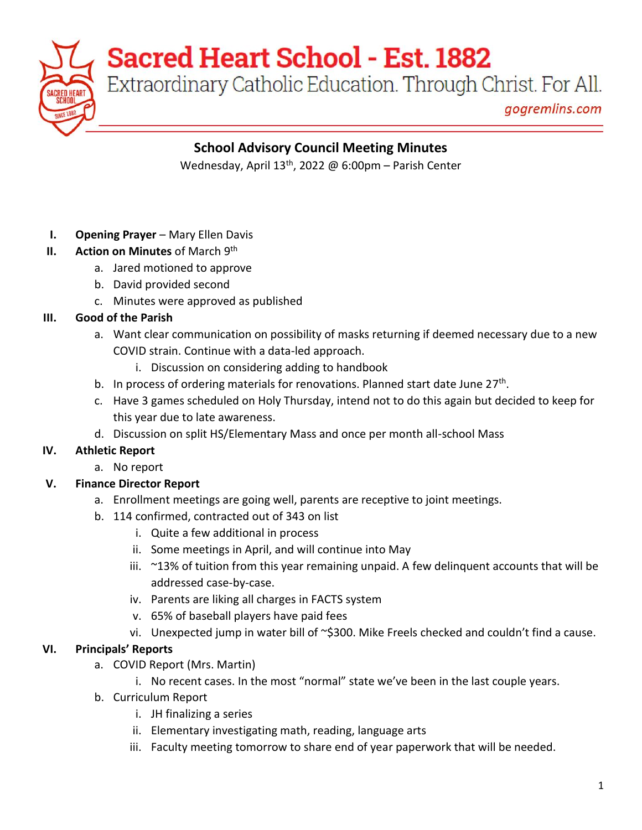Extraordinary Catholic Education. Through Christ. For All.

gogremlins.com

### **School Advisory Council Meeting Minutes**

Wednesday, April 13<sup>th</sup>, 2022 @ 6:00pm – Parish Center

- **I. Opening Prayer** Mary Ellen Davis
- **II.** Action on Minutes of March 9<sup>th</sup>
	- a. Jared motioned to approve
	- b. David provided second
	- c. Minutes were approved as published

### **III. Good of the Parish**

- a. Want clear communication on possibility of masks returning if deemed necessary due to a new COVID strain. Continue with a data-led approach.
	- i. Discussion on considering adding to handbook
- b. In process of ordering materials for renovations. Planned start date June 27<sup>th</sup>.
- c. Have 3 games scheduled on Holy Thursday, intend not to do this again but decided to keep for this year due to late awareness.
- d. Discussion on split HS/Elementary Mass and once per month all-school Mass

### **IV. Athletic Report**

a. No report

### **V. Finance Director Report**

- a. Enrollment meetings are going well, parents are receptive to joint meetings.
- b. 114 confirmed, contracted out of 343 on list
	- i. Quite a few additional in process
	- ii. Some meetings in April, and will continue into May
	- $i$ iii.  $\sim$ 13% of tuition from this year remaining unpaid. A few delinguent accounts that will be addressed case-by-case.
	- iv. Parents are liking all charges in FACTS system
	- v. 65% of baseball players have paid fees
	- vi. Unexpected jump in water bill of ~\$300. Mike Freels checked and couldn't find a cause.

### **VI. Principals' Reports**

- a. COVID Report (Mrs. Martin)
	- i. No recent cases. In the most "normal" state we've been in the last couple years.
- b. Curriculum Report
	- i. JH finalizing a series
	- ii. Elementary investigating math, reading, language arts
	- iii. Faculty meeting tomorrow to share end of year paperwork that will be needed.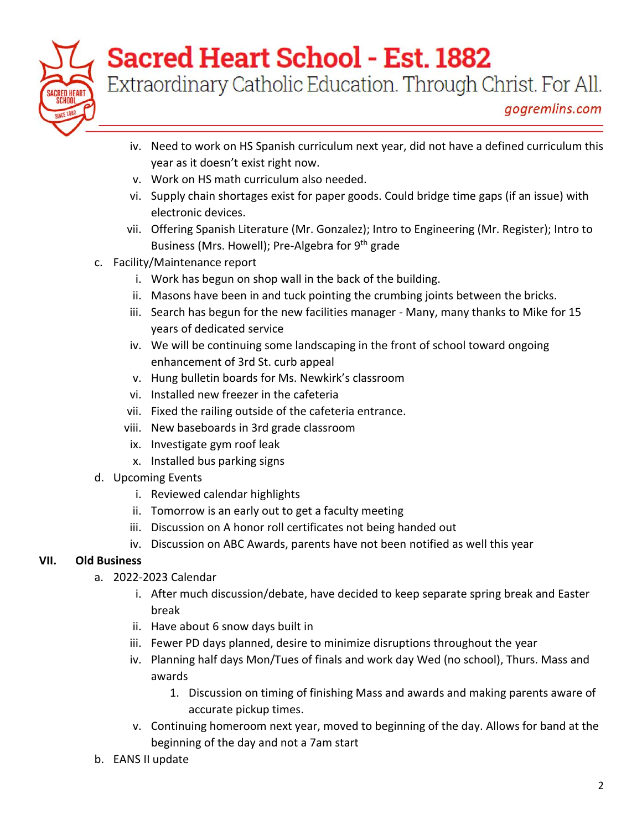

Extraordinary Catholic Education. Through Christ. For All.

- iv. Need to work on HS Spanish curriculum next year, did not have a defined curriculum this year as it doesn't exist right now.
- v. Work on HS math curriculum also needed.
- vi. Supply chain shortages exist for paper goods. Could bridge time gaps (if an issue) with electronic devices.
- vii. Offering Spanish Literature (Mr. Gonzalez); Intro to Engineering (Mr. Register); Intro to Business (Mrs. Howell); Pre-Algebra for 9<sup>th</sup> grade
- c. Facility/Maintenance report
	- i. Work has begun on shop wall in the back of the building.
	- ii. Masons have been in and tuck pointing the crumbing joints between the bricks.
	- iii. Search has begun for the new facilities manager Many, many thanks to Mike for 15 years of dedicated service
	- iv. We will be continuing some landscaping in the front of school toward ongoing enhancement of 3rd St. curb appeal
	- v. Hung bulletin boards for Ms. Newkirk's classroom
	- vi. Installed new freezer in the cafeteria
	- vii. Fixed the railing outside of the cafeteria entrance.
	- viii. New baseboards in 3rd grade classroom
	- ix. Investigate gym roof leak
	- x. Installed bus parking signs
- d. Upcoming Events
	- i. Reviewed calendar highlights
	- ii. Tomorrow is an early out to get a faculty meeting
	- iii. Discussion on A honor roll certificates not being handed out
	- iv. Discussion on ABC Awards, parents have not been notified as well this year

### **VII. Old Business**

- a. 2022-2023 Calendar
	- i. After much discussion/debate, have decided to keep separate spring break and Easter break
	- ii. Have about 6 snow days built in
	- iii. Fewer PD days planned, desire to minimize disruptions throughout the year
	- iv. Planning half days Mon/Tues of finals and work day Wed (no school), Thurs. Mass and awards
		- 1. Discussion on timing of finishing Mass and awards and making parents aware of accurate pickup times.
	- v. Continuing homeroom next year, moved to beginning of the day. Allows for band at the beginning of the day and not a 7am start
- b. EANS II update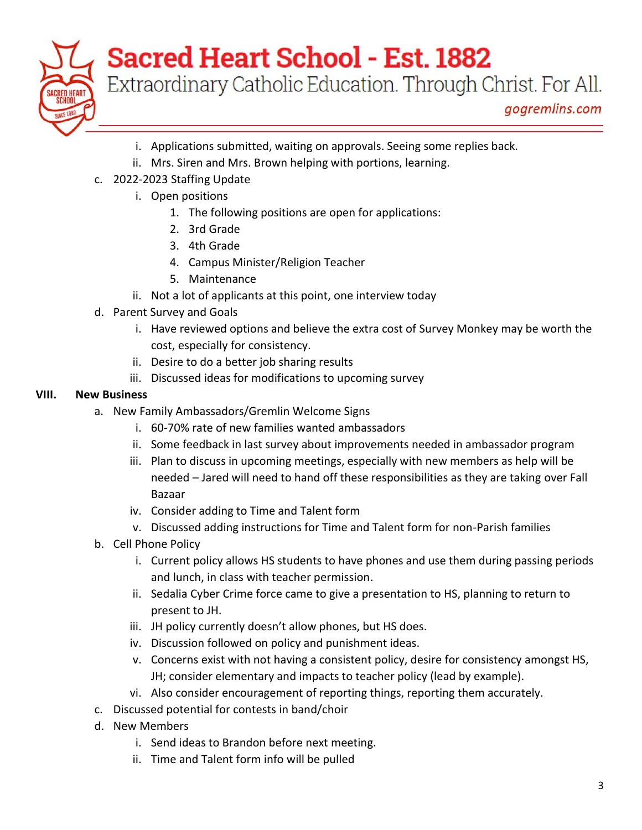

Extraordinary Catholic Education. Through Christ. For All.

- i. Applications submitted, waiting on approvals. Seeing some replies back.
- ii. Mrs. Siren and Mrs. Brown helping with portions, learning.
- c. 2022-2023 Staffing Update
	- i. Open positions
		- 1. The following positions are open for applications:
		- 2. 3rd Grade
		- 3. 4th Grade
		- 4. Campus Minister/Religion Teacher
		- 5. Maintenance
	- ii. Not a lot of applicants at this point, one interview today
- d. Parent Survey and Goals
	- i. Have reviewed options and believe the extra cost of Survey Monkey may be worth the cost, especially for consistency.
	- ii. Desire to do a better job sharing results
	- iii. Discussed ideas for modifications to upcoming survey

### **VIII. New Business**

- a. New Family Ambassadors/Gremlin Welcome Signs
	- i. 60-70% rate of new families wanted ambassadors
	- ii. Some feedback in last survey about improvements needed in ambassador program
	- iii. Plan to discuss in upcoming meetings, especially with new members as help will be needed – Jared will need to hand off these responsibilities as they are taking over Fall Bazaar
	- iv. Consider adding to Time and Talent form
	- v. Discussed adding instructions for Time and Talent form for non-Parish families
- b. Cell Phone Policy
	- i. Current policy allows HS students to have phones and use them during passing periods and lunch, in class with teacher permission.
	- ii. Sedalia Cyber Crime force came to give a presentation to HS, planning to return to present to JH.
	- iii. JH policy currently doesn't allow phones, but HS does.
	- iv. Discussion followed on policy and punishment ideas.
	- v. Concerns exist with not having a consistent policy, desire for consistency amongst HS, JH; consider elementary and impacts to teacher policy (lead by example).
	- vi. Also consider encouragement of reporting things, reporting them accurately.
- c. Discussed potential for contests in band/choir
- d. New Members
	- i. Send ideas to Brandon before next meeting.
	- ii. Time and Talent form info will be pulled